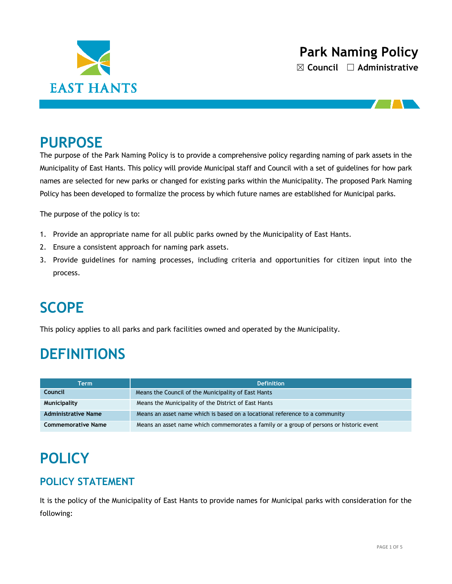

### **PURPOSE**

The purpose of the Park Naming Policy is to provide a comprehensive policy regarding naming of park assets in the Municipality of East Hants. This policy will provide Municipal staff and Council with a set of guidelines for how park names are selected for new parks or changed for existing parks within the Municipality. The proposed Park Naming Policy has been developed to formalize the process by which future names are established for Municipal parks.

The purpose of the policy is to:

- 1. Provide an appropriate name for all public parks owned by the Municipality of East Hants.
- 2. Ensure a consistent approach for naming park assets.
- 3. Provide guidelines for naming processes, including criteria and opportunities for citizen input into the process.

## **SCOPE**

This policy applies to all parks and park facilities owned and operated by the Municipality.

# **DEFINITIONS**

| Term                       | <b>Definition</b>                                                                       |  |  |
|----------------------------|-----------------------------------------------------------------------------------------|--|--|
| Council                    | Means the Council of the Municipality of East Hants                                     |  |  |
| <b>Municipality</b>        | Means the Municipality of the District of East Hants                                    |  |  |
| <b>Administrative Name</b> | Means an asset name which is based on a locational reference to a community             |  |  |
| <b>Commemorative Name</b>  | Means an asset name which commemorates a family or a group of persons or historic event |  |  |

# **POLICY**

#### **POLICY STATEMENT**

It is the policy of the Municipality of East Hants to provide names for Municipal parks with consideration for the following: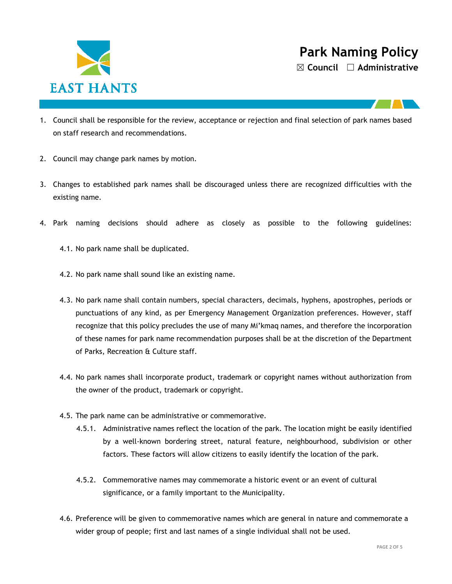

- 1. Council shall be responsible for the review, acceptance or rejection and final selection of park names based on staff research and recommendations.
- 2. Council may change park names by motion.
- 3. Changes to established park names shall be discouraged unless there are recognized difficulties with the existing name.
- 4. Park naming decisions should adhere as closely as possible to the following guidelines:
	- 4.1. No park name shall be duplicated.
	- 4.2. No park name shall sound like an existing name.
	- 4.3. No park name shall contain numbers, special characters, decimals, hyphens, apostrophes, periods or punctuations of any kind, as per Emergency Management Organization preferences. However, staff recognize that this policy precludes the use of many Mi'kmaq names, and therefore the incorporation of these names for park name recommendation purposes shall be at the discretion of the Department of Parks, Recreation & Culture staff.
	- 4.4. No park names shall incorporate product, trademark or copyright names without authorization from the owner of the product, trademark or copyright.
	- 4.5. The park name can be administrative or commemorative.
		- 4.5.1. Administrative names reflect the location of the park. The location might be easily identified by a well-known bordering street, natural feature, neighbourhood, subdivision or other factors. These factors will allow citizens to easily identify the location of the park.
		- 4.5.2. Commemorative names may commemorate a historic event or an event of cultural significance, or a family important to the Municipality.
	- 4.6. Preference will be given to commemorative names which are general in nature and commemorate a wider group of people; first and last names of a single individual shall not be used.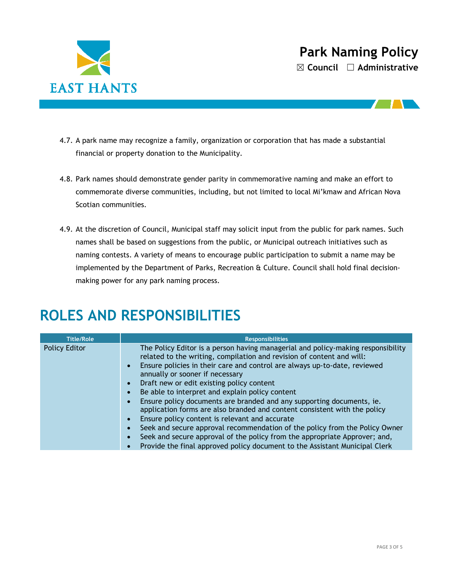

- 4.7. A park name may recognize a family, organization or corporation that has made a substantial financial or property donation to the Municipality.
- 4.8. Park names should demonstrate gender parity in commemorative naming and make an effort to commemorate diverse communities, including, but not limited to local Mi'kmaw and African Nova Scotian communities.
- 4.9. At the discretion of Council, Municipal staff may solicit input from the public for park names. Such names shall be based on suggestions from the public, or Municipal outreach initiatives such as naming contests. A variety of means to encourage public participation to submit a name may be implemented by the Department of Parks, Recreation & Culture. Council shall hold final decisionmaking power for any park naming process.

### **ROLES AND RESPONSIBILITIES**

| <b>Title/Role</b> | <b>Responsibilities</b>                                                                                                                                                                                                                                                                                                                                                                                                                                                                                                                                                                                                                                                                                                                                                                                                                                 |  |  |  |  |
|-------------------|---------------------------------------------------------------------------------------------------------------------------------------------------------------------------------------------------------------------------------------------------------------------------------------------------------------------------------------------------------------------------------------------------------------------------------------------------------------------------------------------------------------------------------------------------------------------------------------------------------------------------------------------------------------------------------------------------------------------------------------------------------------------------------------------------------------------------------------------------------|--|--|--|--|
| Policy Editor     | The Policy Editor is a person having managerial and policy-making responsibility<br>related to the writing, compilation and revision of content and will:<br>Ensure policies in their care and control are always up-to-date, reviewed<br>annually or sooner if necessary<br>Draft new or edit existing policy content<br>$\bullet$<br>Be able to interpret and explain policy content<br>Ensure policy documents are branded and any supporting documents, ie.<br>application forms are also branded and content consistent with the policy<br>Ensure policy content is relevant and accurate<br>$\bullet$<br>Seek and secure approval recommendation of the policy from the Policy Owner<br>Seek and secure approval of the policy from the appropriate Approver; and,<br>Provide the final approved policy document to the Assistant Municipal Clerk |  |  |  |  |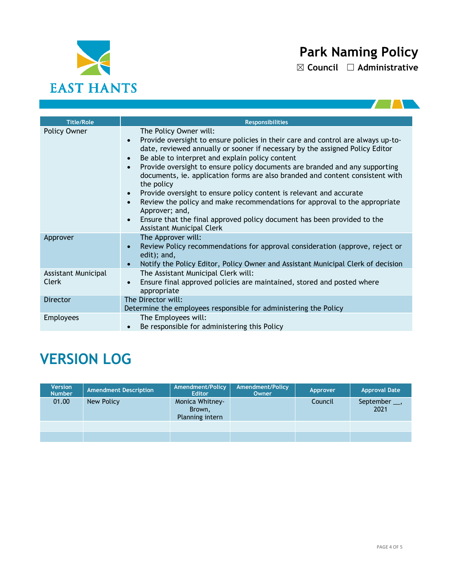

| <b>Title/Role</b>            | <b>Responsibilities</b>                                                                                                                                                                                                                                                                                                                                                                                                                                                                                                                                                                                                                                                                                                                                                            |
|------------------------------|------------------------------------------------------------------------------------------------------------------------------------------------------------------------------------------------------------------------------------------------------------------------------------------------------------------------------------------------------------------------------------------------------------------------------------------------------------------------------------------------------------------------------------------------------------------------------------------------------------------------------------------------------------------------------------------------------------------------------------------------------------------------------------|
| Policy Owner                 | The Policy Owner will:<br>Provide oversight to ensure policies in their care and control are always up-to-<br>$\bullet$<br>date, reviewed annually or sooner if necessary by the assigned Policy Editor<br>Be able to interpret and explain policy content<br>$\bullet$<br>Provide oversight to ensure policy documents are branded and any supporting<br>$\bullet$<br>documents, ie. application forms are also branded and content consistent with<br>the policy<br>Provide oversight to ensure policy content is relevant and accurate<br>$\bullet$<br>Review the policy and make recommendations for approval to the appropriate<br>$\bullet$<br>Approver; and,<br>Ensure that the final approved policy document has been provided to the<br><b>Assistant Municipal Clerk</b> |
| Approver                     | The Approver will:<br>Review Policy recommendations for approval consideration (approve, reject or<br>$\bullet$<br>edit); and,<br>Notify the Policy Editor, Policy Owner and Assistant Municipal Clerk of decision<br>$\bullet$                                                                                                                                                                                                                                                                                                                                                                                                                                                                                                                                                    |
| Assistant Municipal<br>Clerk | The Assistant Municipal Clerk will:<br>Ensure final approved policies are maintained, stored and posted where<br>appropriate                                                                                                                                                                                                                                                                                                                                                                                                                                                                                                                                                                                                                                                       |
| <b>Director</b>              | The Director will:<br>Determine the employees responsible for administering the Policy                                                                                                                                                                                                                                                                                                                                                                                                                                                                                                                                                                                                                                                                                             |
| <b>Employees</b>             | The Employees will:<br>Be responsible for administering this Policy                                                                                                                                                                                                                                                                                                                                                                                                                                                                                                                                                                                                                                                                                                                |

## **VERSION LOG**

| <b>Version</b><br><b>Number</b> | <b>Amendment Description</b> | Amendment/Policy<br><b>Editor</b>            | Amendment/Policy<br>Owner | Approver | <b>Approval Date</b>    |
|---------------------------------|------------------------------|----------------------------------------------|---------------------------|----------|-------------------------|
| 01.00                           | New Policy                   | Monica Whitney-<br>Brown,<br>Planning intern |                           | Council  | September $\_\$<br>2021 |
|                                 |                              |                                              |                           |          |                         |
|                                 |                              |                                              |                           |          |                         |